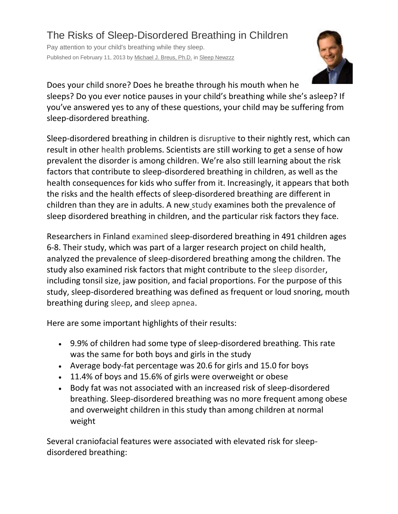## The Risks of Sleep-Disordered Breathing in Children

Pay attention to your child's breathing while they sleep. Published on February 11, 2013 by [Michael J. Breus, Ph.D.](http://www.psychologytoday.com/experts/michael-j-breus-phd) in [Sleep Newzzz](http://www.psychologytoday.com/blog/sleep-newzzz)



Does your child snore? Does he breathe through his mouth when he sleeps? Do you ever notice pauses in your child's breathing while she's asleep? If you've answered yes to any of these questions, your child may be suffering from sleep-disordered breathing.

Sleep-disordered breathing in children is [disruptive](http://www.theinsomniablog.com/the_insomnia_blog/2012/03/sleep-disordered-breathing-not-just-a-grown-up-problem.html) to their nightly rest, which can result in other [health](http://www.psychologytoday.com/node/161206) problems. Scientists are still working to get a sense of how prevalent the disorder is among children. We're also still learning about the risk factors that contribute to sleep-disordered breathing in children, as well as the health consequences for kids who suffer from it. Increasingly, it appears that both the risks and the health effects of sleep-disordered breathing are different in children than they are in adults. A new [study](http://www.medicalnewstoday.com/releases/254113.php) examines both the prevalence of sleep disordered breathing in children, and the particular risk factors they face.

Researchers in Finland [examined](http://link.springer.com/article/10.1007%2Fs00431-012-1757-x) sleep-disordered breathing in 491 children ages 6-8. Their study, which was part of a larger research project on child health, analyzed the prevalence of sleep-disordered breathing among the children. The study also examined risk factors that might contribute to the [sleep disorder,](http://www.psychologytoday.com/basics/insomnia) including tonsil size, jaw position, and facial proportions. For the purpose of this study, sleep-disordered breathing was defined as frequent or loud snoring, mouth breathing during [sleep,](http://www.psychologytoday.com/basics/sleep) and [sleep apnea.](http://www.psychologytoday.com/conditions/sleep-apnea)

Here are some important highlights of their results:

- 9.9% of children had some type of sleep-disordered breathing. This rate was the same for both boys and girls in the study
- Average body-fat percentage was 20.6 for girls and 15.0 for boys
- 11.4% of boys and 15.6% of girls were overweight or obese
- Body fat was not associated with an increased risk of sleep-disordered breathing. Sleep-disordered breathing was no more frequent among obese and overweight children in this study than among children at normal weight

Several craniofacial features were associated with elevated risk for sleepdisordered breathing: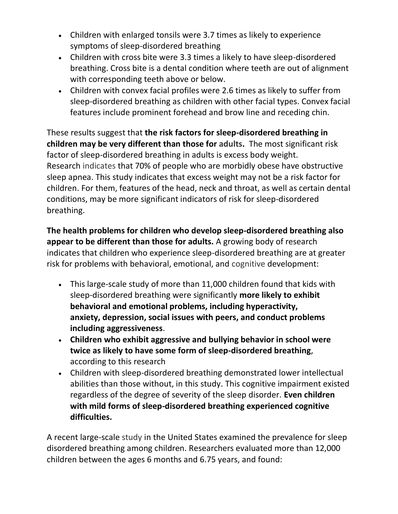- Children with enlarged tonsils were 3.7 times as likely to experience symptoms of sleep-disordered breathing
- Children with cross bite were 3.3 times a likely to have sleep-disordered breathing. Cross bite is a dental condition where teeth are out of alignment with corresponding teeth above or below.
- Children with convex facial profiles were 2.6 times as likely to suffer from sleep-disordered breathing as children with other facial types. Convex facial features include prominent forehead and brow line and receding chin.

These results suggest that **the risk factors for sleep-disordered breathing in children may be very different than those for [adults.](http://www.mayoclinic.com/health/sleep-apnea/DS00148/DSECTION=risk-factors)** The most significant risk factor of sleep-disordered breathing in adults is excess body weight. Research [indicates](http://www.ncbi.nlm.nih.gov/pubmed/17355775) that 70% of people who are morbidly obese have obstructive sleep apnea. This study indicates that excess weight may not be a risk factor for children. For them, features of the head, neck and throat, as well as certain dental conditions, may be more significant indicators of risk for sleep-disordered breathing.

**The health problems for children who develop sleep-disordered breathing also appear to be different than those for adults.** A growing body of research indicates that children who experience sleep-disordered breathing are at greater risk for problems with behavioral, emotional, and [cognitive](http://www.psychologytoday.com/basics/cognition) development:

- This large-scale [study](http://pediatrics.aappublications.org/content/early/2012/02/29/peds.2011-1402.abstract) of more than 11,000 children found that kids with sleep-disordered breathing were significantly **more likely to exhibit behavioral and emotional problems, including hyperactivity, anxiety, [depression,](http://www.psychologytoday.com/basics/depression/symptoms) social issues with peers, and conduct problems including aggressiveness**.
- **Children who exhibit aggressive and [bullying](http://www.psychologytoday.com/basics/bullying) behavior in school were twice as likely to have some form of sleep-disordered breathing**, according to this [research](http://www.sciencedirect.com/science/article/pii/S1389945711001572)
- Children with sleep-disordered breathing demonstrated lower intellectual abilities than those without, in this [study.](http://www.sleep-journal.com/article/S1389-9457(11)00090-6/abstract) This cognitive impairment existed regardless of the degree of severity of the sleep disorder. **Even children with mild forms of sleep-disordered breathing experienced cognitive difficulties.**

A recent large-scale [study](http://www.ncbi.nlm.nih.gov/pubmed/21731137) in the United States examined the prevalence for sleep disordered breathing among children. Researchers evaluated more than 12,000 children between the ages 6 months and 6.75 years, and found: